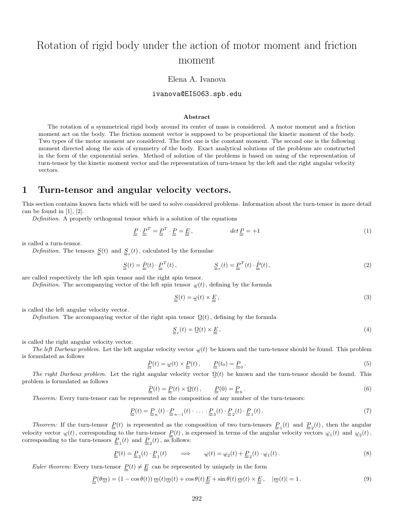# Rotation of rigid body under the action of motor moment and friction moment

#### Elena A. Ivanova

#### ivanova@EI5063.spb.edu

The rotation of a symmetrical rigid body around its center of mass is considered. A motor moment and a friction moment act on the body. The friction moment vector is supposed to be proportional the kinetic moment of the body. Two types of the motor moment are considered. The first one is the constant moment. The second one is the following moment directed along the axis of symmetry of the body. Exact analytical solutions of the problems are constructed in the form of the exponential series. Method of solution of the problems is based on using of the representation of turn-tensor by the kinetic moment vector and the representation of turn-tensor by the left and the right angular velocity vectors.

#### **1 Turn-tensor and angular velocity vectors.**

This section contains known facts which will be used to solve considered problems. Information about the turn-tensor in more detail can be found in [1], [2].

*Definition.* A properly orthogonal tensor which is a solution of the equations

$$
\underline{P} \cdot \underline{P}^T = \underline{P}^T \cdot \underline{P} = \underline{E} \,, \qquad \qquad \det \underline{P} = +1 \tag{1}
$$

is called a turn-tensor.

*Definition*. The tensors  $\underline{\underline{S}}(t)$  and  $\underline{\underline{S}}_r(t)$ , calculated by the formulae

$$
\underline{\underline{S}}(t) = \underline{\underline{P}}(t) \cdot \underline{\underline{P}}^T(t), \qquad \underline{\underline{S}}_r(t) = \underline{\underline{P}}^T(t) \cdot \underline{\underline{P}}(t), \qquad (2)
$$

are called respectively the left spin tensor and the right spin tensor.

*Definition.* The accompanying vector of the left spin tensor  $\omega(t)$ , defining by the formula

$$
\underline{\underline{S}}(t) = \underline{\omega}(t) \times \underline{\underline{F}} \,, \tag{3}
$$

is called the left angular velocity vector.

*Definition.* The accompanying vector of the right spin tensor  $\Omega(t)$ , defining by the formula

$$
\underline{\underline{S}}_{r}(t) = \underline{\Omega}(t) \times \underline{\underline{F}}\,,\tag{4}
$$

is called the right angular velocity vector.

*The left Darboux problem.* Let the left angular velocity vector  $\mathcal{Q}(t)$  be known and the turn-tensor should be found. This problem is formulated as follows

$$
\underline{\underline{P}}(t) = \underline{\omega}(t) \times \underline{\underline{P}}(t), \qquad \underline{\underline{P}}(t_0) = \underline{\underline{P}}_0.
$$
\n(5)

*The right Darboux problem.* Let the right angular velocity vector  $\Omega(t)$  be known and the turn-tensor should be found. This problem is formulated as follows

$$
\underline{\underline{P}}(t) = \underline{P}(t) \times \underline{\Omega}(t), \qquad \underline{P}(0) = \underline{P}_0.
$$
\n(6)

*Theorem:* Every turn-tensor can be represented as the composition of any number of the turn-tensors:

$$
\underline{P}(t) = \underline{P}_n(t) \cdot \underline{P}_{n-1}(t) \cdot \ldots \cdot \underline{P}_3(t) \cdot \underline{P}_2(t) \cdot \underline{P}_1(t).
$$
\n(7)

*Theorem:* If the turn-tensor  $\underline{P}(t)$  is represented as the composition of two turn-tensors  $\underline{P}_1(t)$  and  $\underline{P}_2(t)$ , then the angular velocity vector  $\omega(t)$ , corresponding to the turn-tensor  $\underline{P}(t)$ , is expressed in terms of the angular velocity vectors  $\omega_1(t)$  and  $\omega_2(t)$ , corresponding to the turn-tensors  $\underline{P}_1(t)$  and  $\underline{P}_2(t)$ , as follows:

$$
\underline{P}(t) = \underline{P}_2(t) \cdot \underline{P}_1(t) \qquad \Longrightarrow \qquad \underline{\omega}(t) = \underline{\omega}_2(t) + \underline{P}_2(t) \cdot \underline{\omega}_1(t) \,. \tag{8}
$$

*Euler theorem:* Every turn-tensor  $\underline{P}(t) \neq \underline{E}$  can be represented by uniquely in the form

$$
\underline{P}(\theta \underline{m}) = (1 - \cos \theta(t)) \underline{m}(t) \underline{m}(t) + \cos \theta(t) \underline{E} + \sin \theta(t) \underline{m}(t) \times \underline{E} , \quad |\underline{m}(t)| = 1.
$$
\n(9)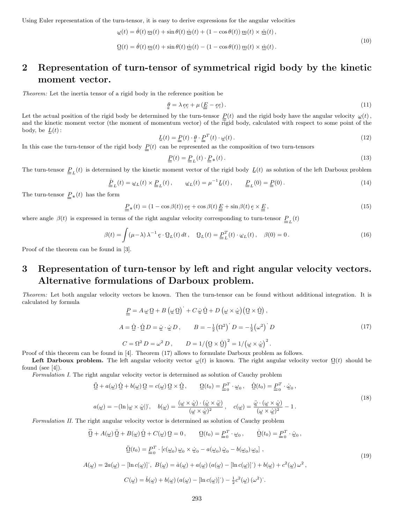Using Euler representation of the turn-tensor, it is easy to derive expressions for the angular velocities

$$
\underline{\omega}(t) = \dot{\theta}(t) \underline{m}(t) + \sin \theta(t) \underline{\dot{m}}(t) + (1 - \cos \theta(t)) \underline{m}(t) \times \underline{\dot{m}}(t),
$$
  

$$
\underline{\Omega}(t) = \dot{\theta}(t) \underline{m}(t) + \sin \theta(t) \underline{\dot{m}}(t) - (1 - \cos \theta(t)) \underline{m}(t) \times \underline{\dot{m}}(t).
$$
 (10)

# **2 Representation of turn-tensor of symmetrical rigid body by the kinetic moment vector.**

*Theorem:* Let the inertia tensor of a rigid body in the reference position be

$$
\underline{\underline{\theta}} = \lambda \underline{ee} + \mu \left( \underline{\underline{E}} - \underline{ee} \right). \tag{11}
$$

Let the actual position of the rigid body be determined by the turn-tensor  $\underline{P}(t)$  and the rigid body have the angular velocity  $\underline{\omega}(t)$ , and the kinetic moment vector (the moment of momentum vector) of the rigid body, calculated with respect to some point of the body, be  $L(t)$ :

$$
\underline{L}(t) = \underline{P}(t) \cdot \underline{\underline{\theta}} \cdot \underline{P}^T(t) \cdot \underline{\omega}(t).
$$
\n(12)

In this case the turn-tensor of the rigid body  $P(t)$  can be represented as the composition of two turn-tensors

$$
\underline{\underline{P}}(t) = \underline{\underline{P}}_L(t) \cdot \underline{\underline{P}}_*(t).
$$
\n(13)

The turn-tensor  $\underline{P}_L(t)$  is determined by the kinetic moment vector of the rigid body  $\underline{L}(t)$  as solution of the left Darboux problem

$$
\underline{\dot{P}}_L(t) = \underline{\omega}_L(t) \times \underline{P}_L(t), \qquad \underline{\omega}_L(t) = \mu^{-1} \underline{L}(t), \qquad \underline{P}_L(0) = \underline{P}(0).
$$
\n(14)

The turn-tensor  $P_*(t)$  has the form

$$
\underline{\underline{P}}_{*}(t) = (1 - \cos\beta(t))\,\underline{ee} + \cos\beta(t)\,\underline{\underline{E}} + \sin\beta(t)\,\underline{e} \times \underline{\underline{E}}\,,\tag{15}
$$

where angle  $\beta(t)$  is expressed in terms of the right angular velocity corresponding to turn-tensor  $\underline{P}_t(t)$ 

$$
\beta(t) = \int (\mu - \lambda) \lambda^{-1} e \cdot \Omega_L(t) dt, \quad \Omega_L(t) = \underline{P}_L^T(t) \cdot \omega_L(t), \quad \beta(0) = 0.
$$
 (16)

Proof of the theorem can be found in [3].

## **3 Representation of turn-tensor by left and right angular velocity vectors. Alternative formulations of Darboux problem.**

*Theorem:* Let both angular velocity vectors be known. Then the turn-tensor can be found without additional integration. It is calculated by formula  $\alpha$  +  $\alpha$  +  $\alpha$  +  $\alpha$  $\Delta$ 

$$
\underline{P} = A \underline{\omega} \Omega + B (\underline{\omega} \Omega) + C \underline{\omega} \dot{\Omega} + D (\underline{\omega} \times \underline{\omega}) (\Omega \times \dot{\Omega}),
$$
  
\n
$$
A = \dot{\Omega} \cdot \dot{\Omega} D = \dot{\omega} \cdot \dot{\omega} D, \qquad B = -\frac{1}{2} (\Omega^2) D = -\frac{1}{2} (\omega^2) D
$$
  
\n
$$
C = \Omega^2 D = \omega^2 D, \qquad D = 1/(\Omega \times \dot{\Omega})^2 = 1/(\underline{\omega} \times \dot{\omega})^2.
$$
\n(17)

Proof of this theorem can be found in [4]. Theorem (17) allows to formulate Darboux problem as follows.

**Left Darboux problem.** The left angular velocity vector  $\omega(t)$  is known. The right angular velocity vector  $\Omega(t)$  should be found (see  $[4]$ ).

*Formulation I.* The right angular velocity vector is determined as solution of Cauchy problem

$$
\underline{\Omega} + a(\underline{\omega}) \underline{\Omega} + b(\underline{\omega}) \underline{\Omega} = c(\underline{\omega}) \underline{\Omega} \times \underline{\Omega}, \qquad \underline{\Omega}(t_0) = \underline{\underline{P}}_0^T \cdot \underline{\omega}_0, \qquad \underline{\Omega}(t_0) = \underline{\underline{P}}_0^T \cdot \underline{\omega}_0,
$$
\n
$$
a(\underline{\omega}) = -(\ln |\underline{\omega} \times \underline{\omega}|), \quad b(\underline{\omega}) = \frac{(\underline{\omega} \times \underline{\omega}) \cdot (\underline{\omega} \times \underline{\omega})}{(\underline{\omega} \times \underline{\omega})^2}, \quad c(\underline{\omega}) = \frac{\underline{\omega} \cdot (\underline{\omega} \times \underline{\omega})}{(\underline{\omega} \times \underline{\omega})^2} - 1.
$$
\n(18)

*Formulation II.* The right angular velocity vector is determined as solution of Cauchy problem

$$
\ddot{\Omega} + A(\underline{\omega}) \dot{\Omega} + B(\underline{\omega}) \dot{\Omega} + C(\underline{\omega}) \Omega = 0, \qquad \Omega(t_0) = \underline{P}_0^T \cdot \underline{\omega}_0, \qquad \dot{\Omega}(t_0) = \underline{P}_0^T \cdot \dot{\underline{\omega}}_0,
$$
  

$$
\ddot{\Omega}(t_0) = \underline{P}_0^T \cdot [c(\underline{\omega}_0) \underline{\omega}_0 \times \dot{\underline{\omega}}_0 - a(\underline{\omega}_0) \underline{\dot{\omega}}_0 - b(\underline{\omega}_0) \underline{\omega}_0],
$$
\n(19)

$$
A(\underline{\omega}) = 2a(\underline{\omega}) - [\ln c(\underline{\omega})]^{\cdot}, \ B(\underline{\omega}) = \dot{a}(\underline{\omega}) + a(\underline{\omega}) (a(\underline{\omega}) - [\ln c(\underline{\omega})]^{\cdot}) + b(\underline{\omega}) + c^2(\underline{\omega}) \omega^2,
$$

$$
C(\underline{\omega}) = \dot{b}(\underline{\omega}) + b(\underline{\omega}) \left( a(\underline{\omega}) - [\ln c(\underline{\omega})] \right) - \frac{1}{2} c^2(\underline{\omega}) \left( \omega^2 \right).
$$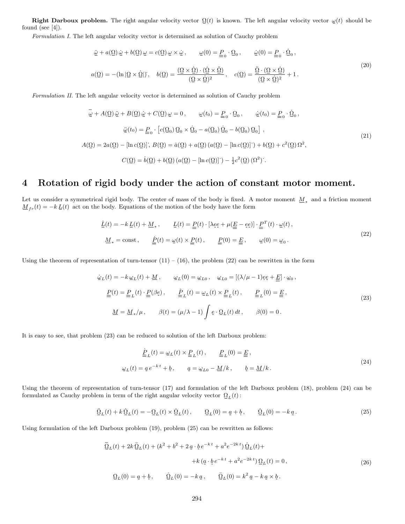**Right Darboux problem.** The right angular velocity vector  $\Omega(t)$  is known. The left angular velocity vector  $\omega(t)$  should be found (see  $[4]$ ).

*Formulation I.* The left angular velocity vector is determined as solution of Cauchy problem

$$
\ddot{\underline{\omega}} + a(\underline{\Omega}) \dot{\underline{\omega}} + b(\underline{\Omega}) \underline{\omega} = c(\underline{\Omega}) \underline{\omega} \times \dot{\underline{\omega}}, \qquad \underline{\omega}(0) = \underline{P}_0 \cdot \underline{\Omega}_0, \qquad \dot{\underline{\omega}}(0) = \underline{P}_0 \cdot \dot{\underline{\Omega}}_0,
$$
  

$$
a(\underline{\Omega}) = -(\ln |\underline{\Omega} \times \dot{\underline{\Omega}}|), \quad b(\underline{\Omega}) = \frac{(\underline{\Omega} \times \dot{\underline{\Omega}}) \cdot (\dot{\underline{\Omega}} \times \dot{\underline{\Omega}})}{(\underline{\Omega} \times \dot{\underline{\Omega}})^2}, \quad c(\underline{\Omega}) = \frac{\underline{\ddot{\Omega}} \cdot (\underline{\Omega} \times \dot{\underline{\Omega}})}{(\underline{\Omega} \times \dot{\underline{\Omega}})^2} + 1.
$$
  
(20)

*Formulation II.* The left angular velocity vector is determined as solution of Cauchy problem

$$
\ddot{\underline{\omega}} + A(\underline{\Omega}) \dot{\underline{\omega}} + B(\underline{\Omega}) \dot{\underline{\omega}} + C(\underline{\Omega}) \underline{\omega} = 0, \qquad \underline{\omega}(t_0) = \underline{P}_0 \cdot \underline{\Omega}_0, \qquad \dot{\underline{\omega}}(t_0) = \underline{P}_0 \cdot \dot{\underline{\Omega}}_0,
$$
  

$$
\ddot{\underline{\omega}}(t_0) = \underline{P}_0 \cdot \left[ c(\underline{\Omega}_0) \underline{\Omega}_0 \times \dot{\underline{\Omega}}_0 - a(\underline{\Omega}_0) \underline{\Omega}_0 - b(\underline{\Omega}_0) \underline{\Omega}_0 \right],
$$
  

$$
A(\underline{\Omega}) = 2a(\underline{\Omega}) - \left[ \ln c(\underline{\Omega}) \right], \ B(\underline{\Omega}) = \dot{a}(\underline{\Omega}) + a(\underline{\Omega}) \left( a(\underline{\Omega}) - \left[ \ln c(\underline{\Omega}) \right] \right) + b(\underline{\Omega}) + c^2(\underline{\Omega}) \Omega^2,
$$
  

$$
C(\underline{\Omega}) = \dot{b}(\underline{\Omega}) + b(\underline{\Omega}) \left( a(\underline{\Omega}) - \left[ \ln c(\underline{\Omega}) \right] \right) - \frac{1}{2} c^2(\underline{\Omega}) \left( \Omega^2 \right).
$$
 (21)

# **4 Rotation of rigid body under the action of constant motor moment.**

Let us consider a symmetrical rigid body. The center of mass of the body is fixed. A motor moment  $M_*$  and a friction moment  $\underline{M}_{fr}(t) = -k \underline{L}(t)$  act on the body. Equations of the motion of the body have the form

$$
\underline{\dot{L}}(t) = -k \underline{L}(t) + \underline{M}_*, \qquad \underline{L}(t) = \underline{P}(t) \cdot [\lambda \underline{e} \underline{e} + \mu (\underline{E} - \underline{e} \underline{e})] \cdot \underline{P}^T(t) \cdot \underline{\omega}(t),
$$
\n
$$
\underline{M}_* = \text{const}, \qquad \underline{\underline{P}}(t) = \underline{\omega}(t) \times \underline{P}(t), \qquad \underline{P}(0) = \underline{E}, \qquad \underline{\omega}(0) = \underline{\omega}_0.
$$
\n
$$
(22)
$$

Using the theorem of representation of turn-tensor  $(11) - (16)$ , the problem  $(22)$  can be rewritten in the form

$$
\underline{\omega}_L(t) = -k \underline{\omega}_L(t) + \underline{M}, \qquad \underline{\omega}_L(0) = \underline{\omega}_{L0}, \quad \underline{\omega}_{L0} = [(\lambda/\mu - 1)\underline{e}e + \underline{E}] \cdot \underline{\omega}_0,
$$
\n
$$
\underline{P}(t) = \underline{P}_L(t) \cdot \underline{P}(\beta e), \qquad \underline{\dot{P}}_L(t) = \underline{\omega}_L(t) \times \underline{P}_L(t), \qquad \underline{P}_L(0) = \underline{E},
$$
\n
$$
\underline{M} = \underline{M}_*/\mu, \qquad \beta(t) = (\mu/\lambda - 1) \int e \cdot \underline{\Omega}_L(t) dt, \qquad \beta(0) = 0.
$$
\n(23)

It is easy to see, that problem (23) can be reduced to solution of the left Darboux problem:

$$
\underline{\dot{P}}_L(t) = \underline{\omega}_L(t) \times \underline{P}_L(t), \qquad \underline{P}_L(0) = \underline{E},
$$
\n
$$
\underline{\omega}_L(t) = \underline{a} e^{-kt} + \underline{b}, \qquad \underline{a} = \underline{\omega}_{L0} - \underline{M}/k, \qquad \underline{b} = \underline{M}/k.
$$
\n(24)

Using the theorem of representation of turn-tensor (17) and formulation of the left Darboux problem (18), problem (24) can be formulated as Cauchy problem in term of the right angular velocity vector  $\, \underline{\Omega}_{L}(t) \, : \,$ 

$$
\underline{\ddot{\Omega}}_L(t) + k \,\underline{\dot{\Omega}}_L(t) = -\underline{\Omega}_L(t) \times \underline{\dot{\Omega}}_L(t) \,, \qquad \underline{\Omega}_L(0) = a + b \,, \qquad \underline{\dot{\Omega}}_L(0) = -k \, \underline{a} \,. \tag{25}
$$

Using formulation of the left Darboux problem (19), problem (25) can be rewritten as follows:

$$
\ddot{Q}_L(t) + 2k \dot{Q}_L(t) + (k^2 + b^2 + 2 \mathbf{a} \cdot \mathbf{b} e^{-kt} + a^2 e^{-2kt}) \dot{Q}_L(t) +\n+ k (\mathbf{a} \cdot \mathbf{b} e^{-kt} + a^2 e^{-2kt}) Q_L(t) = 0 ,
$$
\n(26)  
\n
$$
\mathbf{Q}_L(0) = \mathbf{a} + \mathbf{b}, \qquad \dot{\mathbf{Q}}_L(0) = -k \mathbf{a}, \qquad \dot{\mathbf{Q}}_L(0) = k^2 \mathbf{a} - k \mathbf{a} \times \mathbf{b}.
$$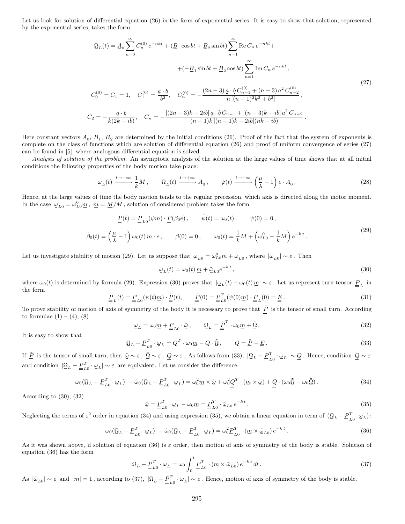Let us look for solution of differential equation (26) in the form of exponential series. It is easy to show that solution, represented by the exponential series, takes the form

$$
\begin{split}\n\Omega_L(t) &= \underline{A}_0 \sum_{n=0}^{\infty} C_n^{(0)} e^{-nkt} + (\underline{B}_1 \cos bt + \underline{B}_2 \sin bt) \sum_{n=1}^{\infty} \text{Re} \, C_n \, e^{-nkt} + \\
&\quad + (-\underline{B}_1 \sin bt + \underline{B}_2 \cos bt) \sum_{n=1}^{\infty} \text{Im} \, C_n \, e^{-nkt} \,, \\
C_0^{(0)} &= C_1 = 1, \quad C_1^{(0)} = \frac{a \cdot b}{b^2}, \quad C_n^{(0)} = -\frac{(2n-3) \, \underline{a} \cdot \underline{b} \, C_{n-1}^{(0)} + (n-3) \, a^2 \, C_{n-2}^{(0)}}{n \, [(n-1)^2 k^2 + b^2]}, \\
C_2 &= -\frac{a \cdot b}{k(2k - ib)}, \quad C_n = -\frac{[(2n-3)k - 2ib] \, \underline{a} \cdot \underline{b} \, C_{n-1} + [(n-3)k - ib] \, a^2 \, C_{n-2}}{(n-1)k \, [(n-1)k - 2ib] (nk - ib)}\n\end{split} \tag{27}
$$

Here constant vectors  $\underline{A}_0$ ,  $\underline{B}_1$ ,  $\underline{B}_2$  are determined by the initial conditions (26). Proof of the fact that the system of exponents is complete on the class of functions which are solution of differential equation (26) and proof of uniform convergence of series (27) can be found in [5], where analogous differential equation is solved.

*Analysis of solution of the problem.* An asymptotic analysis of the solution at the large values of time shows that at all initial conditions the following properties of the body motion take place:

$$
\underline{\omega}_L(t) \xrightarrow{t \to +\infty} \frac{1}{k} \underline{M}, \qquad \underline{\Omega}_L(t) \xrightarrow{t \to +\infty} \underline{A}_0, \qquad \dot{\varphi}(t) \xrightarrow{t \to +\infty} \left(\frac{\mu}{\lambda} - 1\right) \underline{e} \cdot \underline{A}_0.
$$
\n(28)

Hence, at the large values of time the body motion tends to the regular precession, which axis is directed along the motor moment. In the case  $\omega_{L0} = \omega_{L0}^0 \underline{m}$ ,  $\underline{m} = \underline{M}/M$ , solution of considered problem takes the form

$$
\underline{P}(t) = \underline{P}_{Lo}(\psi \underline{m}) \cdot \underline{P}(\beta_0 \underline{e}), \qquad \dot{\psi}(t) = \omega_0(t), \qquad \psi(0) = 0,
$$
\n
$$
\dot{\beta}_0(t) = \left(\frac{\mu}{\lambda} - 1\right) \omega_0(t) \underline{m} \cdot \underline{e}, \qquad \beta(0) = 0, \qquad \omega_0(t) = \frac{1}{k} M + \left(\omega_{Lo}^0 - \frac{1}{k} M\right) e^{-kt}.
$$
\n
$$
(29)
$$

Let us investigate stability of motion (29). Let us suppose that  $\omega_{L0} = \omega_{L0}^0 \underline{m} + \tilde{\omega}_{L0}$ , where  $|\tilde{\omega}_{L0}| \sim \varepsilon$ . Then

$$
\underline{\omega}_L(t) = \omega_0(t) \underline{m} + \tilde{\underline{\omega}}_{L0} e^{-kt}, \qquad (30)
$$

where  $\omega_0(t)$  is determined by formula (29). Expression (30) proves that  $|\omega_L(t) - \omega_0(t) m| \sim \varepsilon$ . Let us represent turn-tensor  $\underline{P}_L$  in the form

$$
\underline{\underline{P}}_L(t) = \underline{\underline{P}}_{L0}(\psi(t)\underline{m}) \cdot \underline{\underline{\tilde{P}}}(t), \qquad \underline{\underline{\tilde{P}}}(0) = \underline{\underline{P}}_{L0}^T(\psi(0)\underline{m}) \cdot \underline{\underline{P}}_L(0) = \underline{\underline{E}}.
$$
\n(31)

To prove stability of motion of axis of symmetry of the body it is necessary to prove that  $\tilde{P}$  is the tensor of small turn. According to formulae  $(1) - (4)$ ,  $(8)$ 

$$
\underline{\omega}_L = \omega_0 \underline{m} + \underline{P}_{L0} \cdot \underline{\tilde{\omega}}, \qquad \underline{\Omega}_L = \underline{\tilde{P}}^T \cdot \omega_0 \underline{m} + \underline{\tilde{\Omega}}.
$$
\n(32)

It is easy to show that

$$
\underline{\Omega}_L - \underline{\underline{P}}_{L0}^T \cdot \underline{\omega}_L = \underline{\underline{Q}}^T \cdot \underline{\omega}_0 \underline{m} - \underline{\underline{Q}} \cdot \underline{\tilde{\Omega}}, \qquad \underline{\underline{Q}} = \underline{\tilde{\underline{P}}} - \underline{\underline{E}}.
$$
\n(33)

If  $\tilde{\underline{P}}$  is the tensor of small turn, then  $\tilde{\underline{\omega}} \sim \varepsilon$ ,  $\tilde{\underline{\Omega}} \sim \varepsilon$ ,  $\underline{\underline{Q}} \sim \varepsilon$ . As follows from (33),  $|\underline{\Omega}_L - \underline{\underline{P}}_{L0}^T \cdot \underline{\omega}_L| \sim \underline{\underline{Q}}$ . Hence, condition  $\underline{\underline{Q}} \sim \varepsilon$ and condition  $|\Omega_L - P_{L0}^T \cdot \omega_L| \sim \varepsilon$  are equivalent. Let us consider the difference

$$
\omega_0(\underline{\Omega}_L - \underline{\underline{P}}_{L0}^T \cdot \underline{\omega}_L) - \dot{\omega}_0(\underline{\Omega}_L - \underline{\underline{P}}_{L0}^T \cdot \underline{\omega}_L) = \omega_0^2 \underline{m} \times \underline{\tilde{\omega}} + \omega_0^2 \underline{\underline{Q}}^T \cdot (\underline{m} \times \underline{\tilde{\omega}}) + \underline{\underline{Q}} \cdot (\dot{\omega}_0 \underline{\tilde{\Omega}} - \omega_0 \underline{\tilde{\Omega}}).
$$
\n(34)

According to (30), (32)

$$
\tilde{\omega} = \underline{P}_{L0}^T \cdot \omega_L - \omega_0 \underline{m} = \underline{P}_{L0}^T \cdot \tilde{\omega}_{L0} e^{-kt}.
$$
\n(35)

Neglecting the terms of  $\varepsilon^2$  order in equation (34) and using expression (35), we obtain a linear equation in term of  $(\Omega_L - \frac{P^T}{E_{L0}} \cdot \omega_L)$ :

$$
\omega_0(\underline{\Omega}_L - \underline{\underline{P}}_{L0}^T \cdot \underline{\omega}_L) - \dot{\omega}_0(\underline{\Omega}_L - \underline{\underline{P}}_{L0}^T \cdot \underline{\omega}_L) = \omega_0^2 \underline{\underline{P}}_{L0}^T \cdot (\underline{m} \times \underline{\tilde{\omega}}_{L0}) e^{-kt}.
$$
\n(36)

As it was shown above, if solution of equation (36) is  $\varepsilon$  order, then motion of axis of symmetry of the body is stable. Solution of equation (36) has the form

$$
\underline{\Omega}_L - \underline{P}_{L0}^T \cdot \underline{\omega}_L = \omega_0 \int_0^t \underline{P}_{L0}^T \cdot (\underline{m} \times \underline{\tilde{\omega}}_{L0}) e^{-k \cdot t} dt.
$$
\n(37)

As  $|\tilde{\omega}_{L0}| \sim \varepsilon$  and  $|m| = 1$ , according to (37),  $|\Omega_L - P_{L0}^T \cdot \omega_L| \sim \varepsilon$ . Hence, motion of axis of symmetry of the body is stable.